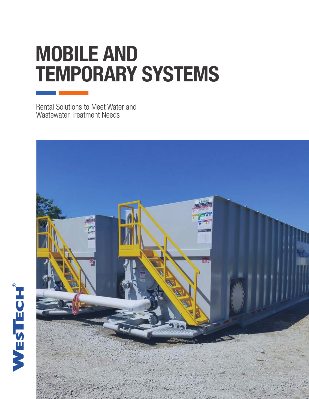# MOBILE AND TEMPORARY SYSTEMS

Rental Solutions to Meet Water and Wastewater Treatment Needs

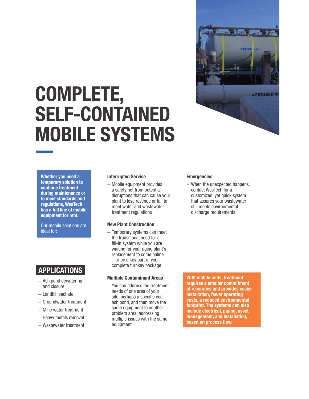# COMPLETE, SELF-CONTAINED MOBILE SYSTEMS



Whether you need a temporary solution to continue treatment during maintenance or to meet standards and regulations, WesTech has a full line of mobile equipment for rent.

Our mobile solutions are ideal for:

# APPLICATIONS

- − Ash pond dewatering and closure
- − Landfill leachate
- − Groundwater treatment
- − Mine water treatment
- − Heavy metals removal
- − Wastewater treatment

#### Interrupted Service

− Mobile equipment provides a safety net from potential disruptions that can cause your plant to lose revenue or fail to meet water and wastewater treatment regulations

#### New Plant Construction

− Temporary systems can meet the transitional need for a fill-in system while you are waiting for your aging plant's replacement to come online – or be a key part of your complete turnkey package

#### Multiple Contaminant Areas

− You can address the treatment needs of one area of your site, perhaps a specific coal ash pond, and then move the same equipment to another problem area, addressing multiple issues with the same equipment

#### **Emergencies**

− When the unexpected happens, contact WesTech for a customized, yet quick system that assures your wastewater still meets environmental discharge requirements.

With mobile units, treatment requires a smaller commitment of resources and provides easier installation, fewer operating costs, a reduced environmental footprint. The systems can also include electrical, piping, asset management, and installation, based on process flow.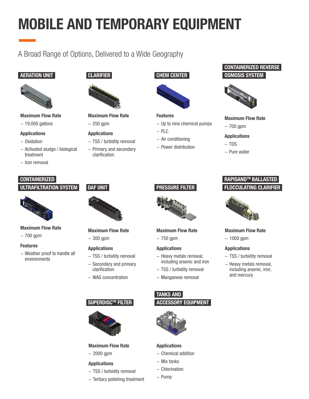# MOBILE AND TEMPORARY EQUIPMENT

A Broad Range of Options, Delivered to a Wide Geography

### AERATION UNIT



#### Maximum Flow Rate

− 19,000 gallons

#### Applications

- − Oxidation
- − Activated sludge / biological treatment
- − Iron removal

# CLARIFIER



#### Maximum Flow Rate

− 250 gpm

#### Applications

- − TSS / turbidity removal
- − Primary and secondary clarification





# Features

- − Up to nine chemical pumps
- − PLC
- − Air conditioning
- − Power distribution

### CONTAINERIZED REVERSE OSMOSIS SYSTEM



#### Maximum Flow Rate

− 700 gpm

#### Applications

- − TDS
- − Pure water

## **CONTAINERIZED** ULTRAFILTRATION SYSTEM



- Maximum Flow Rate
- − 700 gpm

#### Features

− Weather proof to handle all environments

# DAF UNIT



Maximum Flow Rate − 300 gpm

### Applications

- − TSS / turbidity removal − Secondary and primary clarification
- − WAS concentration

## SUPERDISC™ FILTER



#### Maximum Flow Rate

− 2000 gpm

#### Applications

- − TSS / turbidity removal
- − Tertiary polishing treatment



PRESSURE FILTER

Maximum Flow Rate

# − 750 gpm Applications

- − Heavy metals removal, including arsenic and iron
- − TSS / turbidity removal
- − Manganese removal

## TANKS AND

#### ACCESSORY EQUIPMENT



#### Applications

- − Chemical addition
- − Mix tanks
- − Chlorination
- − Pump

## FLOCCULATING CLARIFIER RAPISANDTM BALLASTED



#### Maximum Flow Rate

− 1000 gpm

#### Applications

- − TSS / turbidity removal
- − Heavy metals removal, including arsenic, iron, and mercury